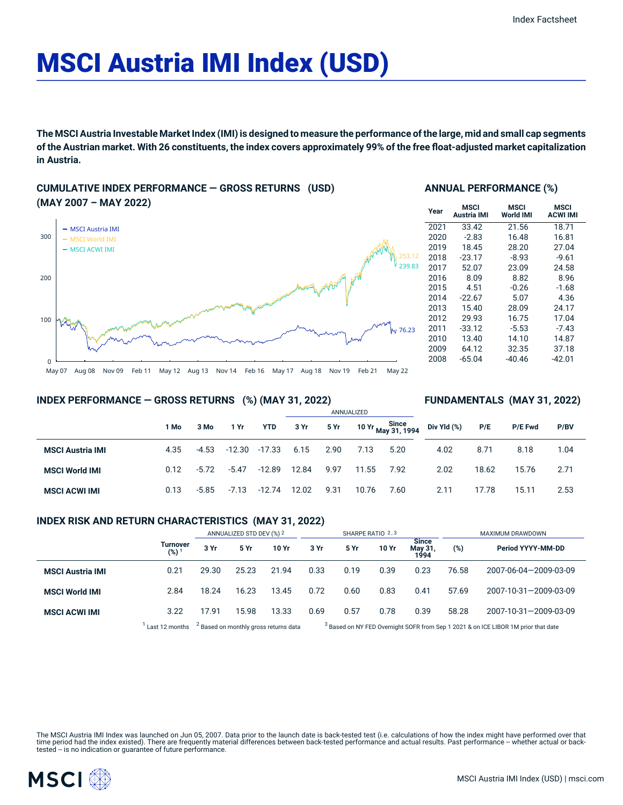# MSCI Austria IMI Index (USD)

The MSCI Austria Investable Market Index (IMI) is designed to measure the performance of the large, mid and small cap segments of the Austrian market. With 26 constituents, the index covers approximately 99% of the free float-adjusted market capitalization **in Austria.**

## **CUMULATIVE INDEX PERFORMANCE — GROSS RETURNS (USD) (MAY 2007 – MAY 2022)**



### **ANNUAL PERFORMANCE (%)**

| Year | MSCI<br>Austria IMI | MSCI<br><b>World IMI</b> | <b>MSCI</b><br><b>ACWI IMI</b> |
|------|---------------------|--------------------------|--------------------------------|
| 2021 | 33.42               | 21.56                    | 18.71                          |
| 2020 | $-2.83$             | 16.48                    | 16.81                          |
| 2019 | 18.45               | 28.20                    | 27.04                          |
| 2018 | $-23.17$            | $-8.93$                  | $-9.61$                        |
| 2017 | 52.07               | 23.09                    | 24.58                          |
| 2016 | 8.09                | 8.82                     | 8.96                           |
| 2015 | 4.51                | $-0.26$                  | $-1.68$                        |
| 2014 | $-22.67$            | 5.07                     | 4.36                           |
| 2013 | 15.40               | 28.09                    | 24.17                          |
| 2012 | 29.93               | 16.75                    | 17.04                          |
| 2011 | $-33.12$            | $-5.53$                  | $-7.43$                        |
| 2010 | 13.40               | 14.10                    | 14.87                          |
| 2009 | 64.12               | 32.35                    | 37.18                          |
| 2008 | $-65.04$            | $-40.46$                 | $-42.01$                       |

**FUNDAMENTALS (MAY 31, 2022)**

#### **INDEX PERFORMANCE — GROSS RETURNS (%) (MAY 31, 2022)**

#### ANNUALIZED **1 Mo 3 Mo 1 Yr YTD 3 Yr 5 Yr 10 Yr Since May 31, 1994 MSCI Austria IMI** 4.35 -4.53 -12.30 -17.33 6.15 2.90 7.13 5.20 **MSCI World IMI** 0.12 -5.72 -5.47 -12.89 12.84 9.97 11.55 7.92 **MSCI ACWI IMI** 0.13 -5.85 -7.13 -12.74 12.02 9.31 10.76 7.60 **Div Yld (%) P/E P/E Fwd P/BV** 4.02 8.71 8.18 1.04 2.02 18.62 15.76 2.71 2.11 17.78 15.11 2.53

### **INDEX RISK AND RETURN CHARACTERISTICS (MAY 31, 2022)**

|                         |                              | ANNUALIZED STD DEV (%) 2 |       | SHARPE RATIO 2,3                                 |      |      |       | MAXIMUM DRAWDOWN                |       |                                                                                               |
|-------------------------|------------------------------|--------------------------|-------|--------------------------------------------------|------|------|-------|---------------------------------|-------|-----------------------------------------------------------------------------------------------|
|                         | Turnover<br>(%) <sup>1</sup> | 3 Yr                     | 5 Yr  | 10 Yr                                            | 3 Yr | 5 Yr | 10 Yr | <b>Since</b><br>May 31,<br>1994 | (%)   | Period YYYY-MM-DD                                                                             |
| <b>MSCI Austria IMI</b> | 0.21                         | 29.30                    | 25.23 | 21.94                                            | 0.33 | 0.19 | 0.39  | 0.23                            | 76.58 | 2007-06-04-2009-03-09                                                                         |
| <b>MSCI World IMI</b>   | 2.84                         | 18.24                    | 16.23 | 13.45                                            | 0.72 | 0.60 | 0.83  | 0.41                            | 57.69 | 2007-10-31-2009-03-09                                                                         |
| <b>MSCI ACWI IMI</b>    | 3.22                         | 17.91                    | 15.98 | 13.33                                            | 0.69 | 0.57 | 0.78  | 0.39                            | 58.28 | 2007-10-31-2009-03-09                                                                         |
|                         | Last 12 months               |                          |       | <sup>2</sup> Based on monthly gross returns data |      |      |       |                                 |       | <sup>3</sup> Based on NY FED Overnight SOFR from Sep 1 2021 & on ICE LIBOR 1M prior that date |

The MSCI Austria IMI Index was launched on Jun 05, 2007. Data prior to the launch date is back-tested test (i.e. calculations of how the index might have performed over that time period had the index existed). There are frequently material differences between back-tested performance and actual results. Past performance – whether actual or back-<br>tested – is no indication or guarantee of future

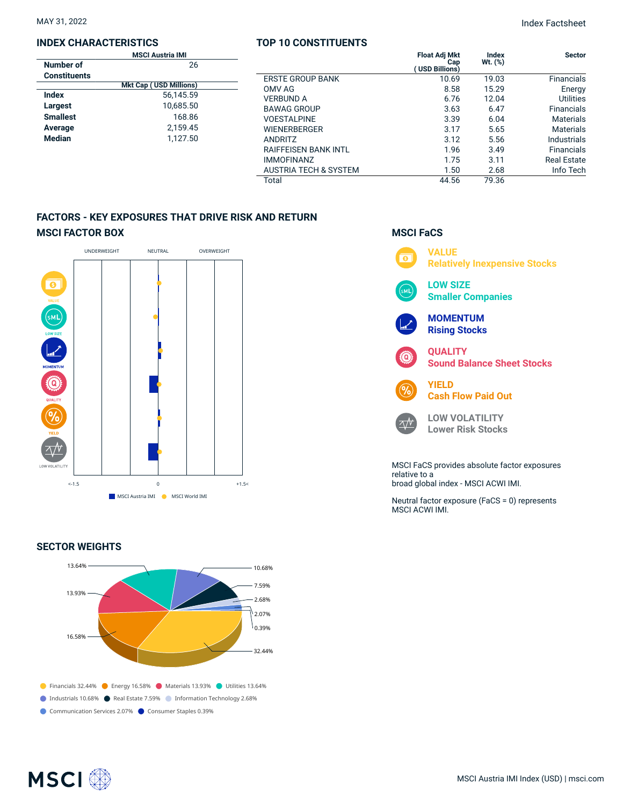## **INDEX CHARACTERISTICS**

| <b>MSCI Austria IMI</b> |                               |  |  |
|-------------------------|-------------------------------|--|--|
| Number of               | 26                            |  |  |
| <b>Constituents</b>     |                               |  |  |
|                         | <b>Mkt Cap (USD Millions)</b> |  |  |
| Index                   | 56.145.59                     |  |  |
| Largest                 | 10,685.50                     |  |  |
| <b>Smallest</b>         | 168.86                        |  |  |
| Average                 | 2.159.45                      |  |  |
| <b>Median</b>           | 1.127.50                      |  |  |
|                         |                               |  |  |

## **TOP 10 CONSTITUENTS**

| TOP 10 CONSTITUENTS              |                                               |                    |                    |
|----------------------------------|-----------------------------------------------|--------------------|--------------------|
|                                  | <b>Float Adj Mkt</b><br>Cap<br>(USD Billions) | Index<br>$Wt.$ (%) | <b>Sector</b>      |
| <b>ERSTE GROUP BANK</b>          | 10.69                                         | 19.03              | <b>Financials</b>  |
| OMV AG                           | 8.58                                          | 15.29              | Energy             |
| <b>VERBUND A</b>                 | 6.76                                          | 12.04              | <b>Utilities</b>   |
| <b>BAWAG GROUP</b>               | 3.63                                          | 6.47               | Financials         |
| <b>VOESTALPINE</b>               | 3.39                                          | 6.04               | <b>Materials</b>   |
| <b>WIENERBERGER</b>              | 3.17                                          | 5.65               | <b>Materials</b>   |
| <b>ANDRITZ</b>                   | 3.12                                          | 5.56               | Industrials        |
| <b>RAIFFEISEN BANK INTL</b>      | 1.96                                          | 3.49               | Financials         |
| <b>IMMOFINANZ</b>                | 1.75                                          | 3.11               | <b>Real Estate</b> |
| <b>AUSTRIA TECH &amp; SYSTEM</b> | 1.50                                          | 2.68               | Info Tech          |
| Total                            | 44.56                                         | 79.36              |                    |

## **FACTORS - KEY EXPOSURES THAT DRIVE RISK AND RETURN MSCI FACTOR BOX**



## **SECTOR WEIGHTS**



## **MSCI FaCS**



relative to a broad global index - MSCI ACWI IMI.

Neutral factor exposure (FaCS = 0) represents MSCI ACWI IMI.